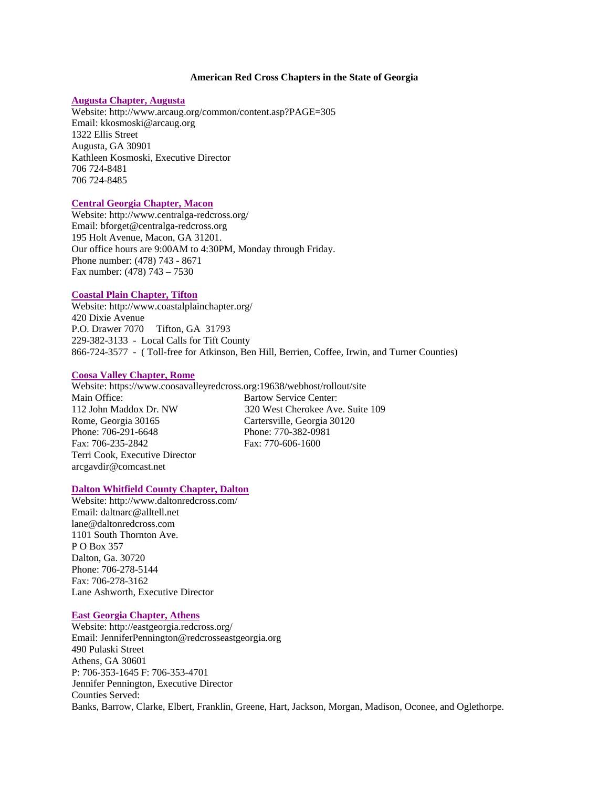## **American Red Cross Chapters in the State of Georgia**

# **Augusta Chapter, Augusta**

Website: http://www.arcaug.org/common/content.asp?PAGE=305 Email: kkosmoski@arcaug.org 1322 Ellis Street Augusta, GA 30901 Kathleen Kosmoski, Executive Director 706 724-8481 706 724-8485

## **Central Georgia Chapter, Macon**

Website: http://www.centralga-redcross.org/ Email: bforget@centralga-redcross.org 195 Holt Avenue, Macon, GA 31201. Our office hours are 9:00AM to 4:30PM, Monday through Friday. Phone number: (478) 743 - 8671 Fax number: (478) 743 – 7530

## **Coastal Plain Chapter, Tifton**

Website: http://www.coastalplainchapter.org/ 420 Dixie Avenue P.O. Drawer 7070 Tifton, GA 31793 229-382-3133 - Local Calls for Tift County 866-724-3577 - ( Toll-free for Atkinson, Ben Hill, Berrien, Coffee, Irwin, and Turner Counties)

## **Coosa Valley Chapter, Rome**

Website: https://www.coosavalleyredcross.org:19638/webhost/rollout/site Main Office: Bartow Service Center: 112 John Maddox Dr. NW 320 West Cherokee Ave. Suite 109 Rome, Georgia 30165 Cartersville, Georgia 30120 Phone: 706-291-6648 Phone: 770-382-0981 Fax: 706-235-2842 Fax: 770-606-1600 Terri Cook, Executive Director arcgavdir@comcast.net

#### **Dalton Whitfield County Chapter, Dalton**

Website: http://www.daltonredcross.com/ Email: daltnarc@alltell.net lane@daltonredcross.com 1101 South Thornton Ave. P O Box 357 Dalton, Ga. 30720 Phone: 706-278-5144 Fax: 706-278-3162 Lane Ashworth, Executive Director

# **East Georgia Chapter, Athens**

Website: http://eastgeorgia.redcross.org/ Email: JenniferPennington@redcrosseastgeorgia.org 490 Pulaski Street Athens, GA 30601 P: 706-353-1645 F: 706-353-4701 Jennifer Pennington, Executive Director Counties Served: Banks, Barrow, Clarke, Elbert, Franklin, Greene, Hart, Jackson, Morgan, Madison, Oconee, and Oglethorpe.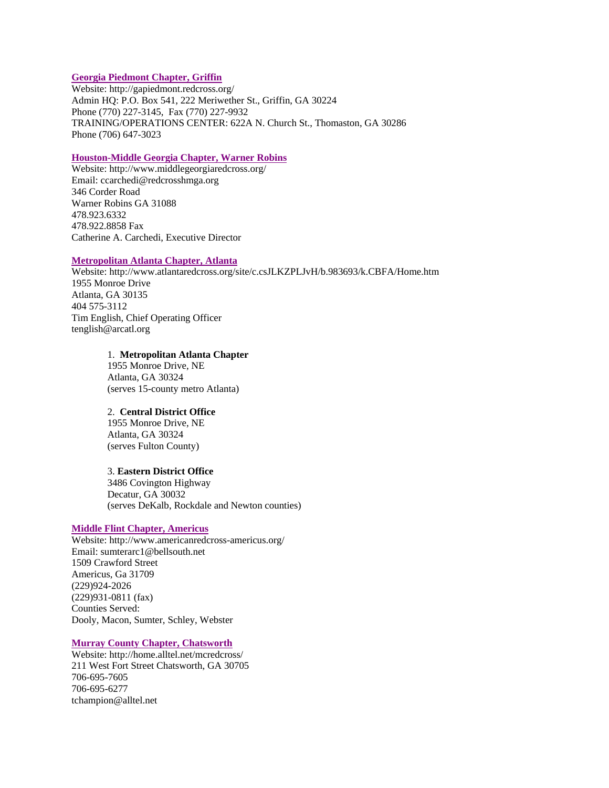# **Georgia Piedmont Chapter, Griffin**

Website: http://gapiedmont.redcross.org/ Admin HQ: P.O. Box 541, 222 Meriwether St., Griffin, GA 30224 Phone (770) 227-3145, Fax (770) 227-9932 TRAINING/OPERATIONS CENTER: 622A N. Church St., Thomaston, GA 30286 Phone (706) 647-3023

# **Houston-Middle Georgia Chapter, Warner Robins**

Website: http://www.middlegeorgiaredcross.org/ Email: ccarchedi@redcrosshmga.org 346 Corder Road Warner Robins GA 31088 478.923.6332 478.922.8858 Fax Catherine A. Carchedi, Executive Director

## **Metropolitan Atlanta Chapter, Atlanta**

Website: http://www.atlantaredcross.org/site/c.csJLKZPLJvH/b.983693/k.CBFA/Home.htm 1955 Monroe Drive Atlanta, GA 30135 404 575-3112 Tim English, Chief Operating Officer tenglish@arcatl.org

## 1. **Metropolitan Atlanta Chapter**

1955 Monroe Drive, NE Atlanta, GA 30324 (serves 15-county metro Atlanta)

## 2. **Central District Office**

1955 Monroe Drive, NE Atlanta, GA 30324 (serves Fulton County)

## 3. **Eastern District Office**

3486 Covington Highway Decatur, GA 30032 (serves DeKalb, Rockdale and Newton counties)

## **Middle Flint Chapter, Americus**

Website: http://www.americanredcross-americus.org/ Email: sumterarc1@bellsouth.net 1509 Crawford Street Americus, Ga 31709 (229)924-2026 (229)931-0811 (fax) Counties Served: Dooly, Macon, Sumter, Schley, Webster

## **Murray County Chapter, Chatsworth**

Website: http://home.alltel.net/mcredcross/ 211 West Fort Street Chatsworth, GA 30705 706-695-7605 706-695-6277 tchampion@alltel.net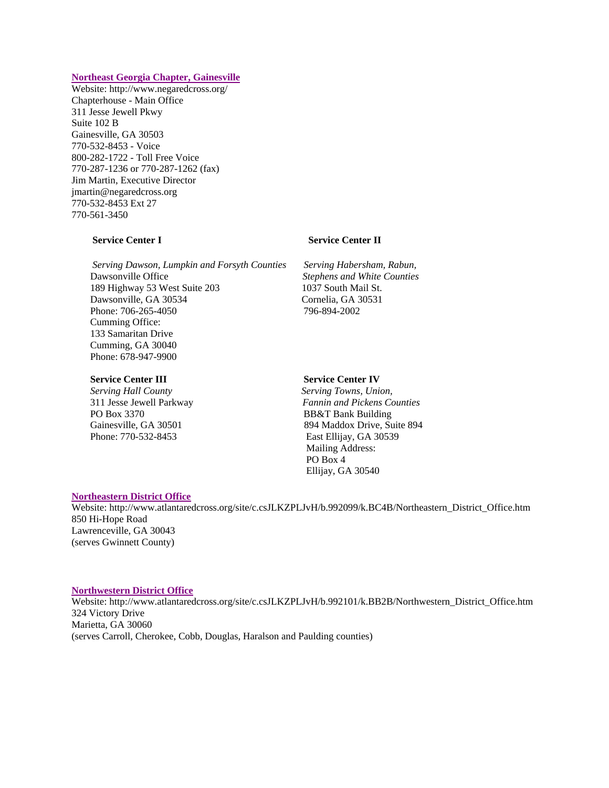## **Northeast Georgia Chapter, Gainesville**

Website: http://www.negaredcross.org/ Chapterhouse - Main Office 311 Jesse Jewell Pkwy Suite 102 B Gainesville, GA 30503 770-532-8453 - Voice 800-282-1722 - Toll Free Voice 770-287-1236 or 770-287-1262 (fax) Jim Martin, Executive Director jmartin@negaredcross.org 770-532-8453 Ext 27 770-561-3450

 *Serving Dawson, Lumpkin and Forsyth Counties Serving Habersham, Rabun,* Dawsonville Office *Stephens and White Counties* 189 Highway 53 West Suite 203 1037 South Mail St. Dawsonville, GA 30534 Cornelia, GA 30531 Phone: 706-265-4050 796-894-2002 Cumming Office: 133 Samaritan Drive Cumming, GA 30040 Phone: 678-947-9900

## **Service Center III** Service Center IV

*Serving Hall County Serving Towns, Union,*  PO Box 3370 BB&T Bank Building Phone: 770-532-8453 East Ellijay, GA 30539

# **Service Center I** Service Center II

311 Jesse Jewell Parkway *Fannin and Pickens Counties* Gainesville, GA 30501 894 Maddox Drive, Suite 894 Mailing Address: PO Box 4 Ellijay, GA 30540

### **Northeastern District Office**

Website: http://www.atlantaredcross.org/site/c.csJLKZPLJvH/b.992099/k.BC4B/Northeastern\_District\_Office.htm 850 Hi-Hope Road Lawrenceville, GA 30043 (serves Gwinnett County)

#### **Northwestern District Office**

Website: http://www.atlantaredcross.org/site/c.csJLKZPLJvH/b.992101/k.BB2B/Northwestern\_District\_Office.htm 324 Victory Drive Marietta, GA 30060 (serves Carroll, Cherokee, Cobb, Douglas, Haralson and Paulding counties)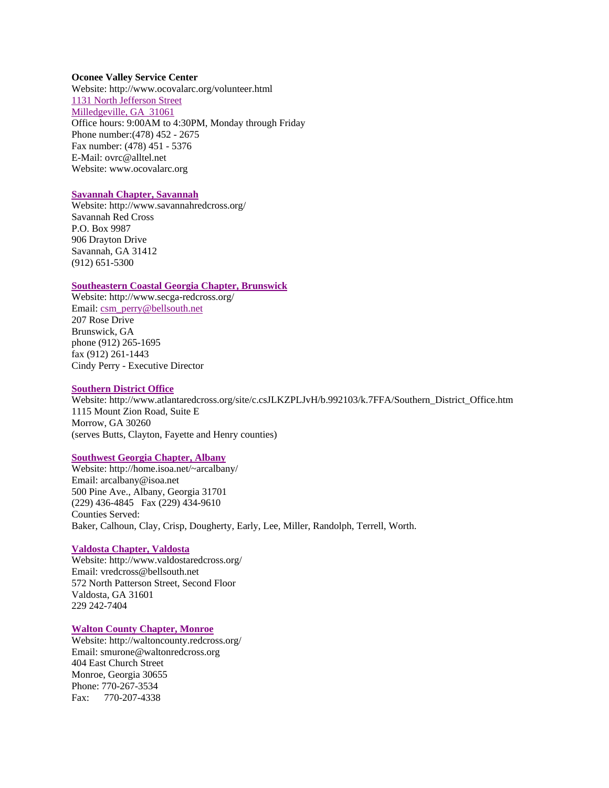#### **Oconee Valley Service Center**

Website: http://www.ocovalarc.org/volunteer.html 1131 North Jefferson Street Milledgeville, GA 31061 Office hours: 9:00AM to 4:30PM, Monday through Friday Phone number:(478) 452 - 2675 Fax number: (478) 451 - 5376 E-Mail: ovrc@alltel.net Website: www.ocovalarc.org

#### **Savannah Chapter, Savannah**

Website: http://www.savannahredcross.org/ Savannah Red Cross P.O. Box 9987 906 Drayton Drive Savannah, GA 31412 (912) 651-5300

## **Southeastern Coastal Georgia Chapter, Brunswick**

Website: http://www.secga-redcross.org/ Email: csm\_perry@bellsouth.net 207 Rose Drive Brunswick, GA phone (912) 265-1695 fax (912) 261-1443 Cindy Perry - Executive Director

#### **Southern District Office**

Website: http://www.atlantaredcross.org/site/c.csJLKZPLJvH/b.992103/k.7FFA/Southern\_District\_Office.htm 1115 Mount Zion Road, Suite E Morrow, GA 30260 (serves Butts, Clayton, Fayette and Henry counties)

# **Southwest Georgia Chapter, Albany**

Website: http://home.isoa.net/~arcalbany/ Email: arcalbany@isoa.net 500 Pine Ave., Albany, Georgia 31701 (229) 436-4845 Fax (229) 434-9610 Counties Served: Baker, Calhoun, Clay, Crisp, Dougherty, Early, Lee, Miller, Randolph, Terrell, Worth.

#### **Valdosta Chapter, Valdosta**

Website: http://www.valdostaredcross.org/ Email: vredcross@bellsouth.net 572 North Patterson Street, Second Floor Valdosta, GA 31601 229 242-7404

## **Walton County Chapter, Monroe**

Website: http://waltoncounty.redcross.org/ Email: smurone@waltonredcross.org 404 East Church Street Monroe, Georgia 30655 Phone: 770-267-3534 Fax: 770-207-4338